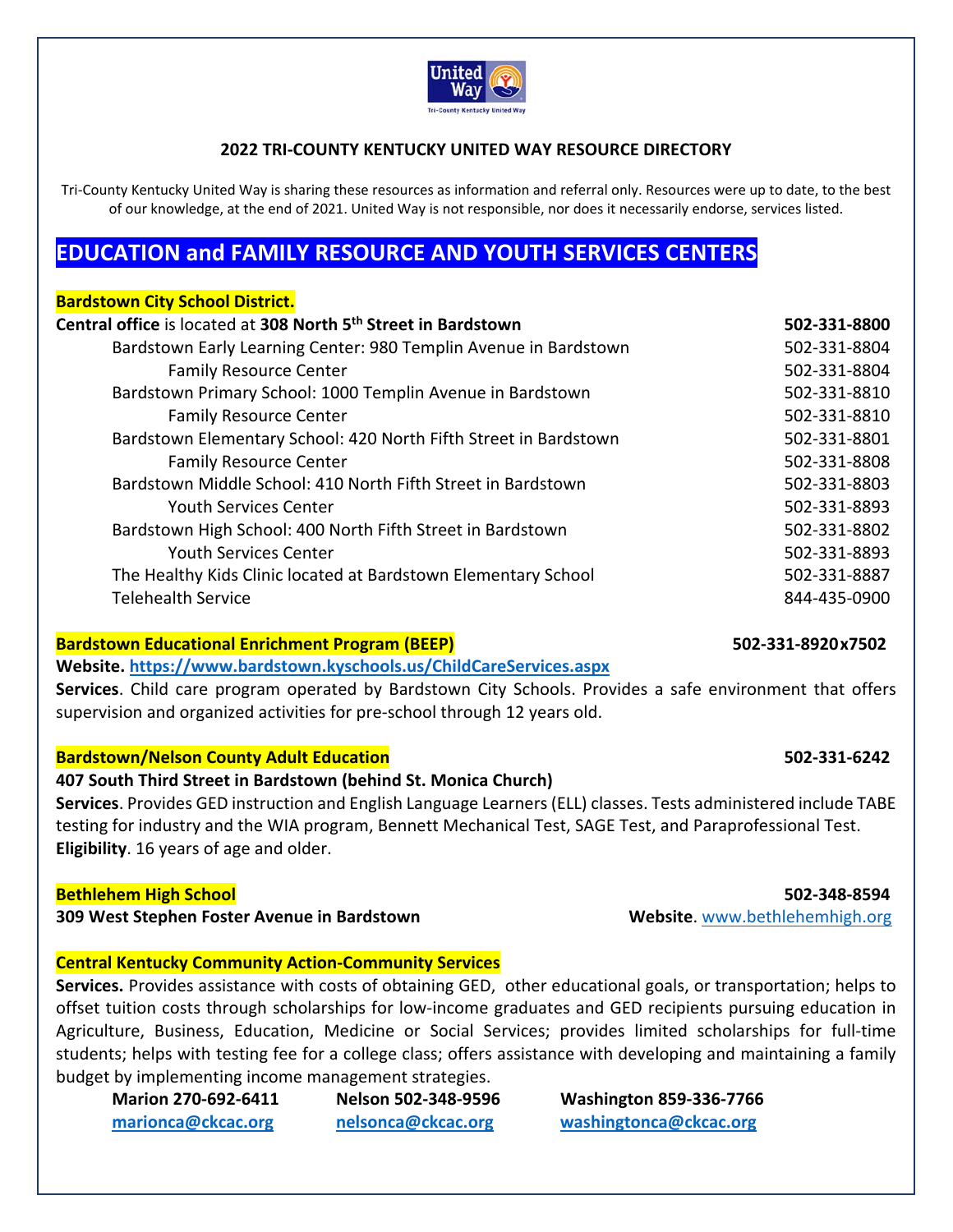

## **2022 TRI‐COUNTY KENTUCKY UNITED WAY RESOURCE DIRECTORY**

Tri-County Kentucky United Way is sharing these resources as information and referral only. Resources were up to date, to the best of our knowledge, at the end of 2021. United Way is not responsible, nor does it necessarily endorse, services listed.

# **EDUCATION and FAMILY RESOURCE AND YOUTH SERVICES CENTERS**

| <b>Bardstown City School District.</b>                                     |              |
|----------------------------------------------------------------------------|--------------|
| Central office is located at 308 North 5 <sup>th</sup> Street in Bardstown | 502-331-8800 |
| Bardstown Early Learning Center: 980 Templin Avenue in Bardstown           | 502-331-8804 |
| <b>Family Resource Center</b>                                              | 502-331-8804 |
| Bardstown Primary School: 1000 Templin Avenue in Bardstown                 | 502-331-8810 |
| <b>Family Resource Center</b>                                              | 502-331-8810 |
| Bardstown Elementary School: 420 North Fifth Street in Bardstown           | 502-331-8801 |
| <b>Family Resource Center</b>                                              | 502-331-8808 |
| Bardstown Middle School: 410 North Fifth Street in Bardstown               | 502-331-8803 |
| <b>Youth Services Center</b>                                               | 502-331-8893 |
| Bardstown High School: 400 North Fifth Street in Bardstown                 | 502-331-8802 |
| <b>Youth Services Center</b>                                               | 502-331-8893 |
| The Healthy Kids Clinic located at Bardstown Elementary School             | 502-331-8887 |
| <b>Telehealth Service</b>                                                  | 844-435-0900 |
|                                                                            |              |

## **Bardstown Educational Enrichment Program (BEEP) 502‐331‐8920 x7502**

## **Website. https://www.bardstown.kyschools.us/ChildCareServices.aspx**

**Services**. Child care program operated by Bardstown City Schools. Provides a safe environment that offers supervision and organized activities for pre‐school through 12 years old.

## **Bardstown/Nelson County Adult Education 502‐331‐6242**

## **407 South Third Street in Bardstown (behind St. Monica Church)**

**Services**. Provides GED instruction and English Language Learners (ELL) classes. Tests administered include TABE testing for industry and the WIA program, Bennett Mechanical Test, SAGE Test, and Paraprofessional Test. **Eligibility**. 16 years of age and older.

### **Bethlehem High School 502‐348‐8594**

**309 West Stephen Foster Avenue in Bardstown Website**. www.bethlehemhigh.org

## **Central Kentucky Community Action‐Community Services**

**Services.** Provides assistance with costs of obtaining GED, other educational goals, or transportation; helps to offset tuition costs through scholarships for low‐income graduates and GED recipients pursuing education in Agriculture, Business, Education, Medicine or Social Services; provides limited scholarships for full-time students; helps with testing fee for a college class; offers assistance with developing and maintaining a family budget by implementing income management strategies.

**Marion 270‐692‐6411 Nelson 502‐348‐9596 Washington 859‐336‐7766 marionca@ckcac.org nelsonca@ckcac.org washingtonca@ckcac.org**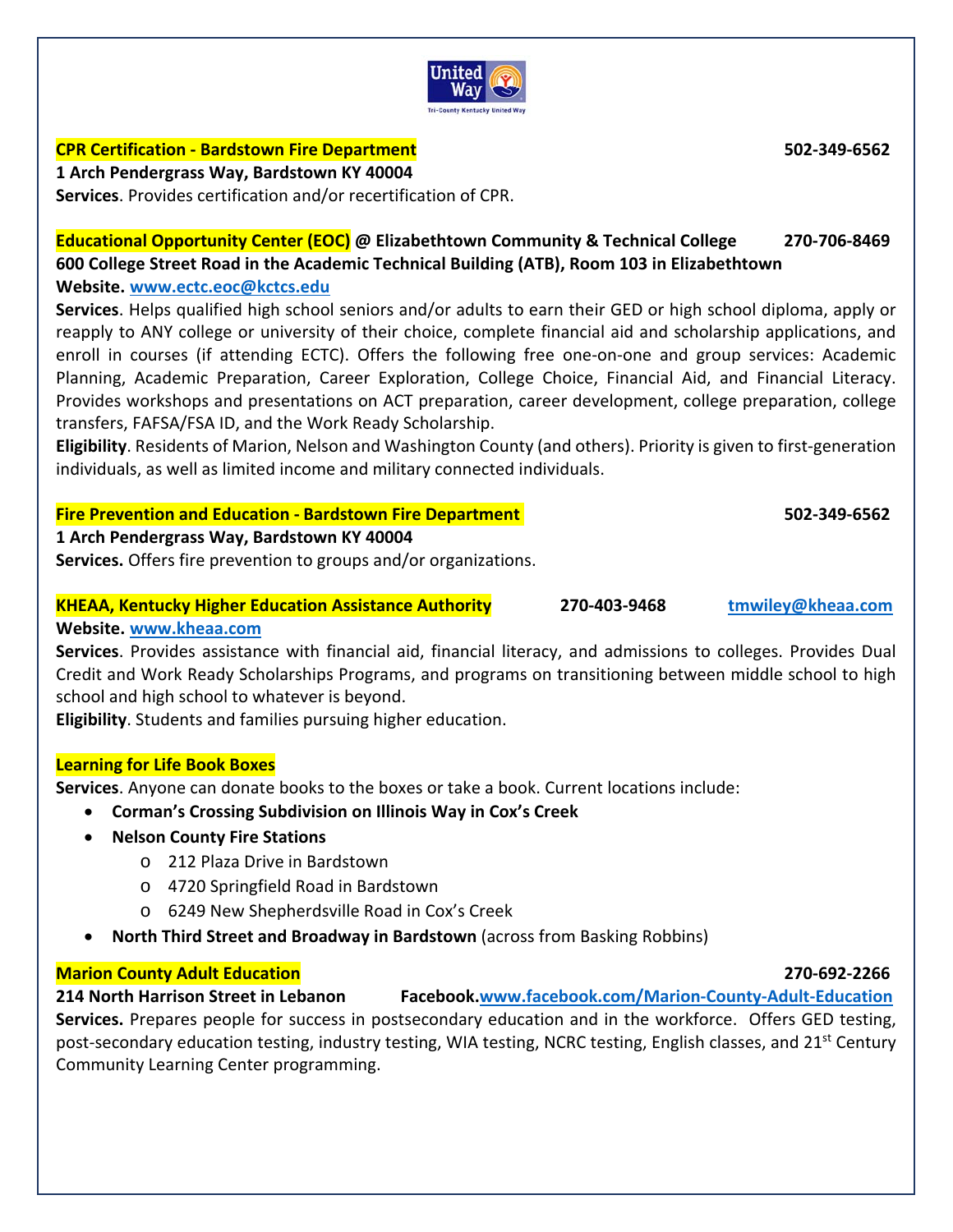

# **CPR Certification ‐ Bardstown Fire Department 502‐349‐6562**

**1 Arch Pendergrass Way, Bardstown KY 40004** 

**Services**. Provides certification and/or recertification of CPR.

**Educational Opportunity Center (EOC) @ Elizabethtown Community & Technical College 270‐706‐8469 600 College Street Road in the Academic Technical Building (ATB), Room 103 in Elizabethtown Website. www.ectc.eoc@kctcs.edu** 

**Services**. Helps qualified high school seniors and/or adults to earn their GED or high school diploma, apply or reapply to ANY college or university of their choice, complete financial aid and scholarship applications, and enroll in courses (if attending ECTC). Offers the following free one-on-one and group services: Academic Planning, Academic Preparation, Career Exploration, College Choice, Financial Aid, and Financial Literacy. Provides workshops and presentations on ACT preparation, career development, college preparation, college transfers, FAFSA/FSA ID, and the Work Ready Scholarship.

**Eligibility**. Residents of Marion, Nelson and Washington County (and others). Priority is given to first‐generation individuals, as well as limited income and military connected individuals.

# **Fire Prevention and Education ‐ Bardstown Fire Department 502‐349‐6562**

**1 Arch Pendergrass Way, Bardstown KY 40004** 

**Services.** Offers fire prevention to groups and/or organizations.

# **KHEAA, Kentucky Higher Education Assistance Authority 270‐403‐9468 tmwiley@kheaa.com**

**Website. www.kheaa.com** 

Services. Provides assistance with financial aid, financial literacy, and admissions to colleges. Provides Dual Credit and Work Ready Scholarships Programs, and programs on transitioning between middle school to high school and high school to whatever is beyond.

**Eligibility**. Students and families pursuing higher education.

## **Learning for Life Book Boxes**

**Services**. Anyone can donate books to the boxes or take a book. Current locations include:

**Corman's Crossing Subdivision on Illinois Way in Cox's Creek** 

- **Nelson County Fire Stations** 
	- o 212 Plaza Drive in Bardstown
	- o 4720 Springfield Road in Bardstown
	- o 6249 New Shepherdsville Road in Cox's Creek
- **North Third Street and Broadway in Bardstown** (across from Basking Robbins)

# **Marion County Adult Education 270‐692‐2266**

**214 North Harrison Street in Lebanon Facebook.www.facebook.com/Marion‐County‐Adult‐Education Services.** Prepares people for success in postsecondary education and in the workforce. Offers GED testing, post-secondary education testing, industry testing, WIA testing, NCRC testing, English classes, and 21<sup>st</sup> Century Community Learning Center programming.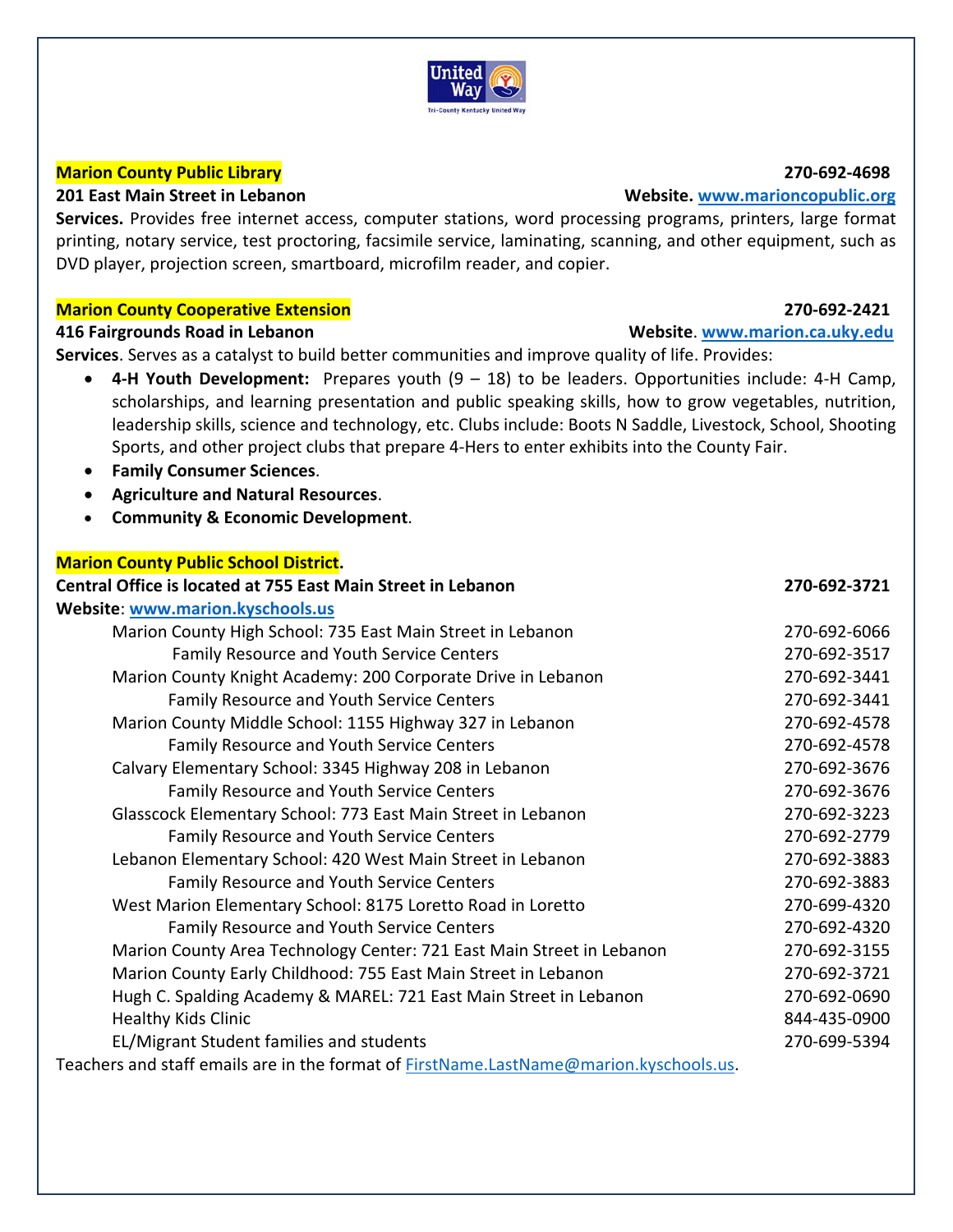## United Wav **Tri-County Kentucky United Way**

# **Marion County Public Library 270‐692‐4698**

**Services.** Provides free internet access, computer stations, word processing programs, printers, large format printing, notary service, test proctoring, facsimile service, laminating, scanning, and other equipment, such as DVD player, projection screen, smartboard, microfilm reader, and copier.

# **Marion County Cooperative Extension 270‐692‐2421**

## **416 Fairgrounds Road in Lebanon Website**. **www.marion.ca.uky.edu**

**Services**. Serves as a catalyst to build better communities and improve quality of life. Provides:

- **4-H Youth Development:** Prepares youth (9 18) to be leaders. Opportunities include: 4-H Camp, scholarships, and learning presentation and public speaking skills, how to grow vegetables, nutrition, leadership skills, science and technology, etc. Clubs include: Boots N Saddle, Livestock, School, Shooting Sports, and other project clubs that prepare 4‐Hers to enter exhibits into the County Fair.
- **Family Consumer Sciences**.
- **Agriculture and Natural Resources**.
- **Community & Economic Development**.

# **Marion County Public School District.**

| <b>Central Office is located at 755 East Main Street in Lebanon</b>                    | 270-692-3721 |
|----------------------------------------------------------------------------------------|--------------|
| Website: www.marion.kyschools.us                                                       |              |
| Marion County High School: 735 East Main Street in Lebanon                             | 270-692-6066 |
| <b>Family Resource and Youth Service Centers</b>                                       | 270-692-3517 |
| Marion County Knight Academy: 200 Corporate Drive in Lebanon                           | 270-692-3441 |
| Family Resource and Youth Service Centers                                              | 270-692-3441 |
| Marion County Middle School: 1155 Highway 327 in Lebanon                               | 270-692-4578 |
| Family Resource and Youth Service Centers                                              | 270-692-4578 |
| Calvary Elementary School: 3345 Highway 208 in Lebanon                                 | 270-692-3676 |
| Family Resource and Youth Service Centers                                              | 270-692-3676 |
| Glasscock Elementary School: 773 East Main Street in Lebanon                           | 270-692-3223 |
| Family Resource and Youth Service Centers                                              | 270-692-2779 |
| Lebanon Elementary School: 420 West Main Street in Lebanon                             | 270-692-3883 |
| Family Resource and Youth Service Centers                                              | 270-692-3883 |
| West Marion Elementary School: 8175 Loretto Road in Loretto                            | 270-699-4320 |
| Family Resource and Youth Service Centers                                              | 270-692-4320 |
| Marion County Area Technology Center: 721 East Main Street in Lebanon                  | 270-692-3155 |
| Marion County Early Childhood: 755 East Main Street in Lebanon                         | 270-692-3721 |
| Hugh C. Spalding Academy & MAREL: 721 East Main Street in Lebanon                      | 270-692-0690 |
| <b>Healthy Kids Clinic</b>                                                             | 844-435-0900 |
| EL/Migrant Student families and students                                               | 270-699-5394 |
| Teachers and staff emails are in the format of FirstName.LastName@marion.kyschools.us. |              |

## **201 East Main Street in Lebanon** *b* **<b>1201 Cast Main Street in Lebanon 1201 Cast Main Street in Lebanon 1201**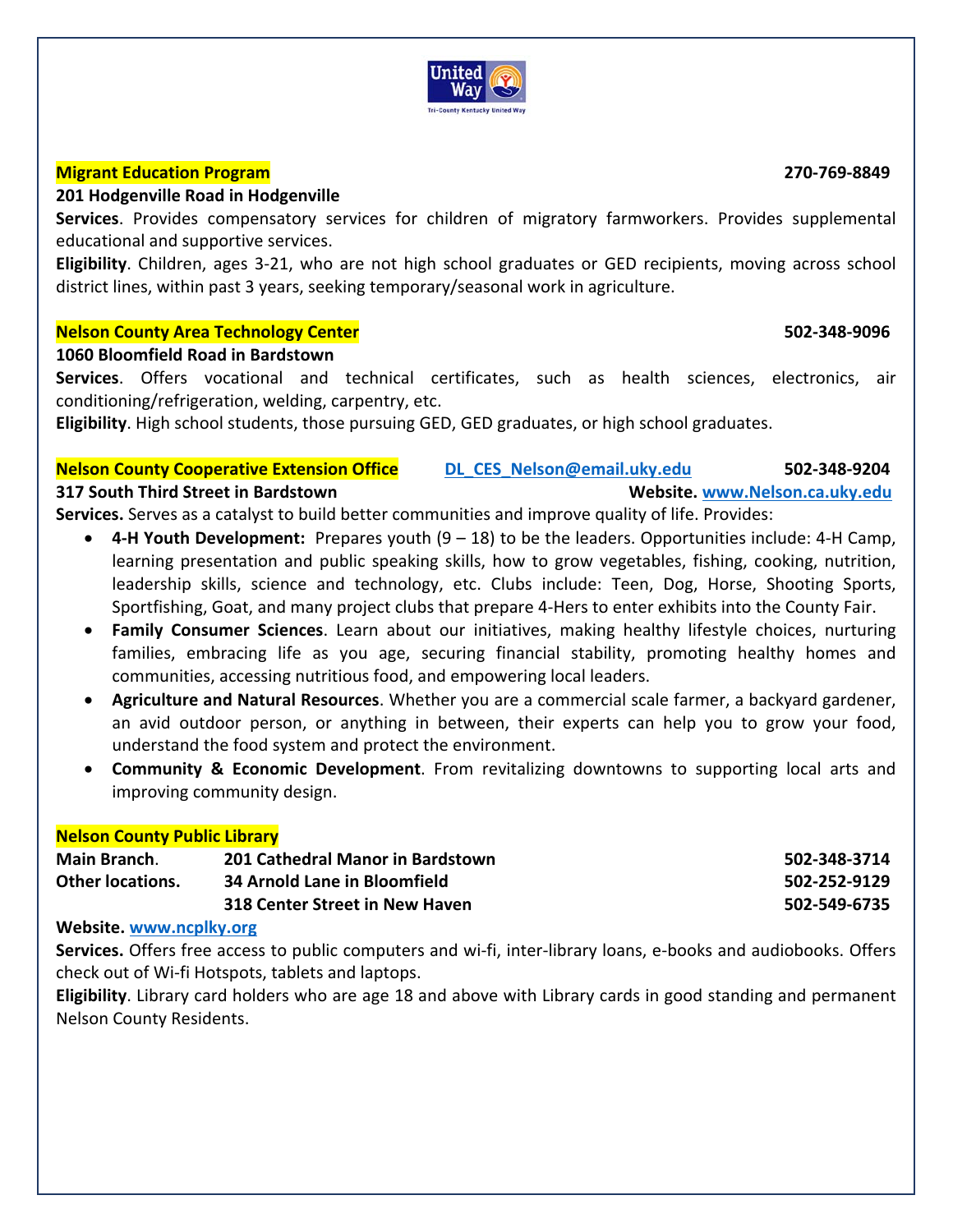

# **Migrant Education Program 270‐769‐8849**

## **201 Hodgenville Road in Hodgenville**

**Services**. Provides compensatory services for children of migratory farmworkers. Provides supplemental educational and supportive services.

**Eligibility**. Children, ages 3‐21, who are not high school graduates or GED recipients, moving across school district lines, within past 3 years, seeking temporary/seasonal work in agriculture.

# **Nelson County Area Technology Center 502‐348‐9096**

# **1060 Bloomfield Road in Bardstown**

Services. Offers vocational and technical certificates, such as health sciences, electronics, air conditioning/refrigeration, welding, carpentry, etc.

**Eligibility**. High school students, those pursuing GED, GED graduates, or high school graduates.

# **Nelson County Cooperative Extension Office DL\_CES\_Nelson@email.uky.edu 502‐348‐9204**

## **317 South Third Street in Bardstown Website. www.Nelson.ca.uky.edu**

**Services.** Serves as a catalyst to build better communities and improve quality of life. Provides:

- **4‐H Youth Development:** Prepares youth (9 18) to be the leaders. Opportunities include: 4‐H Camp, learning presentation and public speaking skills, how to grow vegetables, fishing, cooking, nutrition, leadership skills, science and technology, etc. Clubs include: Teen, Dog, Horse, Shooting Sports, Sportfishing, Goat, and many project clubs that prepare 4‐Hers to enter exhibits into the County Fair.
- **Family Consumer Sciences**. Learn about our initiatives, making healthy lifestyle choices, nurturing families, embracing life as you age, securing financial stability, promoting healthy homes and communities, accessing nutritious food, and empowering local leaders.
- **Agriculture and Natural Resources**. Whether you are a commercial scale farmer, a backyard gardener, an avid outdoor person, or anything in between, their experts can help you to grow your food, understand the food system and protect the environment.
- **Community & Economic Development**. From revitalizing downtowns to supporting local arts and improving community design.

## **Nelson County Public Library**

| Main Branch.            | 201 Cathedral Manor in Bardstown | 502-348-3714 |
|-------------------------|----------------------------------|--------------|
| <b>Other locations.</b> | 34 Arnold Lane in Bloomfield     | 502-252-9129 |
|                         | 318 Center Street in New Haven   | 502-549-6735 |

## **Website. www.ncplky.org**

Services. Offers free access to public computers and wi-fi, inter-library loans, e-books and audiobooks. Offers check out of Wi‐fi Hotspots, tablets and laptops.

**Eligibility**. Library card holders who are age 18 and above with Library cards in good standing and permanent Nelson County Residents.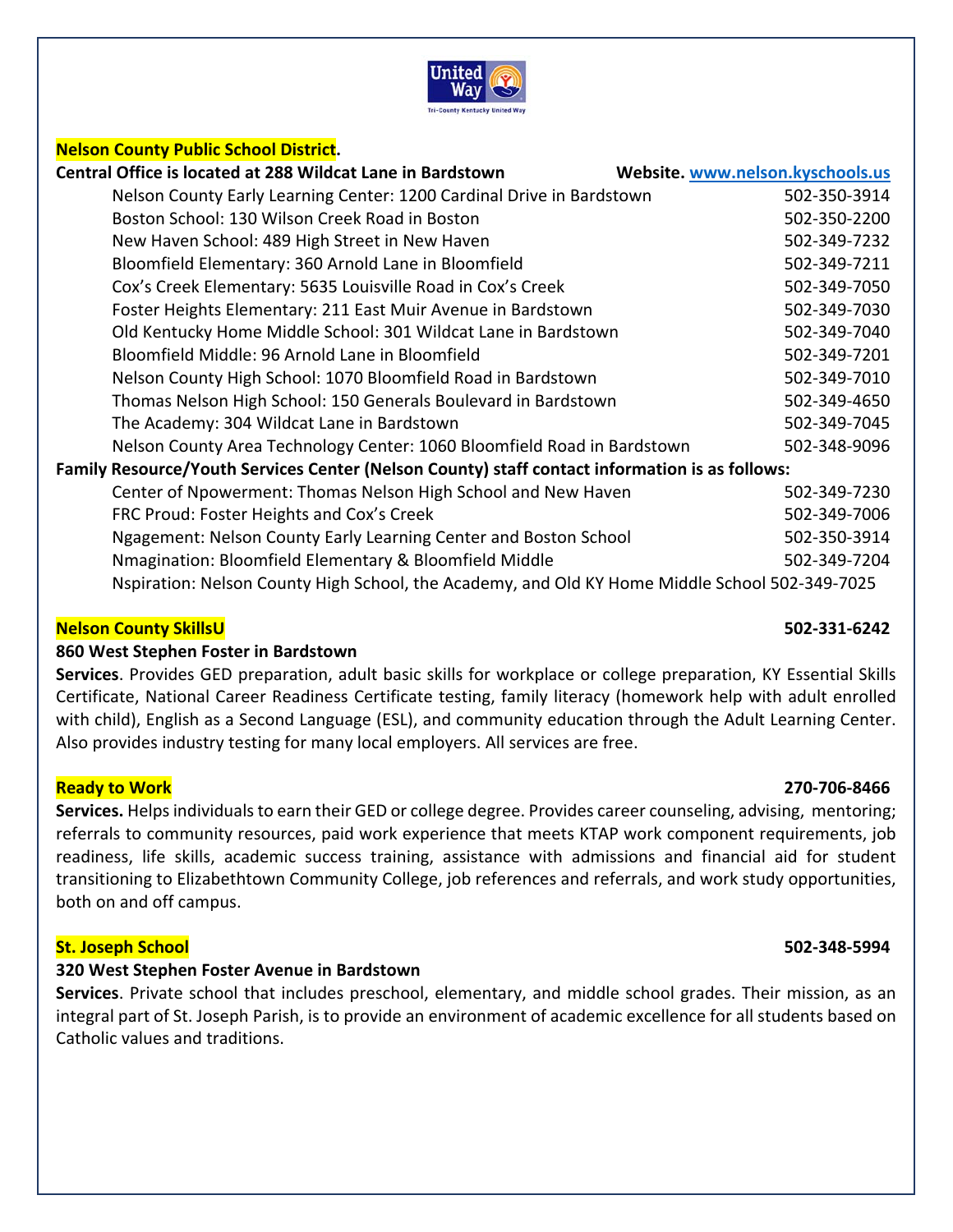

| <b>Nelson County Public School District.</b>                                                   |                                  |  |
|------------------------------------------------------------------------------------------------|----------------------------------|--|
| Central Office is located at 288 Wildcat Lane in Bardstown                                     | Website. www.nelson.kyschools.us |  |
| Nelson County Early Learning Center: 1200 Cardinal Drive in Bardstown                          | 502-350-3914                     |  |
| Boston School: 130 Wilson Creek Road in Boston                                                 | 502-350-2200                     |  |
| New Haven School: 489 High Street in New Haven                                                 | 502-349-7232                     |  |
| Bloomfield Elementary: 360 Arnold Lane in Bloomfield                                           | 502-349-7211                     |  |
| Cox's Creek Elementary: 5635 Louisville Road in Cox's Creek                                    | 502-349-7050                     |  |
| Foster Heights Elementary: 211 East Muir Avenue in Bardstown                                   | 502-349-7030                     |  |
| Old Kentucky Home Middle School: 301 Wildcat Lane in Bardstown                                 | 502-349-7040                     |  |
| Bloomfield Middle: 96 Arnold Lane in Bloomfield                                                | 502-349-7201                     |  |
| Nelson County High School: 1070 Bloomfield Road in Bardstown                                   | 502-349-7010                     |  |
| Thomas Nelson High School: 150 Generals Boulevard in Bardstown                                 | 502-349-4650                     |  |
| The Academy: 304 Wildcat Lane in Bardstown                                                     | 502-349-7045                     |  |
| Nelson County Area Technology Center: 1060 Bloomfield Road in Bardstown                        | 502-348-9096                     |  |
| Family Resource/Youth Services Center (Nelson County) staff contact information is as follows: |                                  |  |
| Center of Npowerment: Thomas Nelson High School and New Haven                                  | 502-349-7230                     |  |
| FRC Proud: Foster Heights and Cox's Creek                                                      | 502-349-7006                     |  |
| Ngagement: Nelson County Early Learning Center and Boston School                               | 502-350-3914                     |  |
| Nmagination: Bloomfield Elementary & Bloomfield Middle                                         | 502-349-7204                     |  |
| Nspiration: Nelson County High School, the Academy, and Old KY Home Middle School 502-349-7025 |                                  |  |

## **Nelson County SkillsU 502‐331‐6242**

## **860 West Stephen Foster in Bardstown**

**Services**. Provides GED preparation, adult basic skills for workplace or college preparation, KY Essential Skills Certificate, National Career Readiness Certificate testing, family literacy (homework help with adult enrolled with child), English as a Second Language (ESL), and community education through the Adult Learning Center. Also provides industry testing for many local employers. All services are free.

## **Ready to Work 270‐706‐8466**

**Services.** Helps individuals to earn their GED or college degree. Provides career counseling, advising, mentoring; referrals to community resources, paid work experience that meets KTAP work component requirements, job readiness, life skills, academic success training, assistance with admissions and financial aid for student transitioning to Elizabethtown Community College, job references and referrals, and work study opportunities, both on and off campus.

## **St. Joseph School 502‐348‐5994**

## **320 West Stephen Foster Avenue in Bardstown**

**Services**. Private school that includes preschool, elementary, and middle school grades. Their mission, as an integral part of St. Joseph Parish, is to provide an environment of academic excellence for all students based on Catholic values and traditions.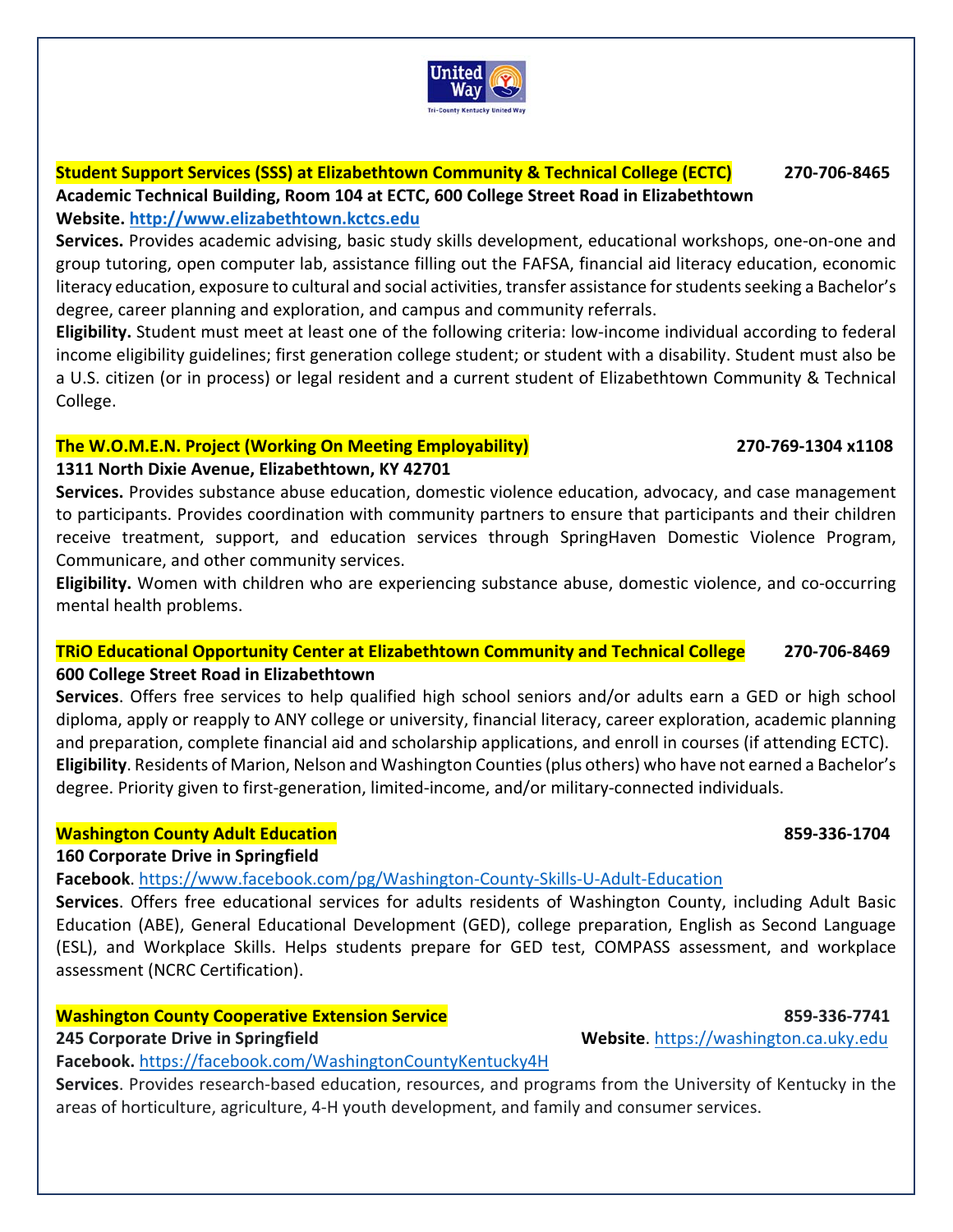# **Student Support Services (SSS) at Elizabethtown Community & Technical College (ECTC) 270‐706‐8465 Academic Technical Building, Room 104 at ECTC, 600 College Street Road in Elizabethtown Website. http://www.elizabethtown.kctcs.edu**

**Services.** Provides academic advising, basic study skills development, educational workshops, one‐on‐one and group tutoring, open computer lab, assistance filling out the FAFSA, financial aid literacy education, economic literacy education, exposure to cultural and social activities, transfer assistance for students seeking a Bachelor's degree, career planning and exploration, and campus and community referrals.

**Eligibility.** Student must meet at least one of the following criteria: low‐income individual according to federal income eligibility guidelines; first generation college student; or student with a disability. Student must also be a U.S. citizen (or in process) or legal resident and a current student of Elizabethtown Community & Technical College.

# **The W.O.M.E.N. Project (Working On Meeting Employability) 270‐769‐1304 x1108**

# **1311 North Dixie Avenue, Elizabethtown, KY 42701**

**Services.** Provides substance abuse education, domestic violence education, advocacy, and case management to participants. Provides coordination with community partners to ensure that participants and their children receive treatment, support, and education services through SpringHaven Domestic Violence Program, Communicare, and other community services.

**Eligibility.** Women with children who are experiencing substance abuse, domestic violence, and co-occurring mental health problems.

# **TRiO Educational Opportunity Center at Elizabethtown Community and Technical College 270‐706‐8469 600 College Street Road in Elizabethtown**

**Services**. Offers free services to help qualified high school seniors and/or adults earn a GED or high school diploma, apply or reapply to ANY college or university, financial literacy, career exploration, academic planning and preparation, complete financial aid and scholarship applications, and enroll in courses (if attending ECTC). **Eligibility**. Residents of Marion, Nelson and Washington Counties (plus others) who have not earned a Bachelor's degree. Priority given to first‐generation, limited‐income, and/or military‐connected individuals.

# **Washington County Adult Education 859‐336‐1704**

# **160 Corporate Drive in Springfield**

**Facebook**. https://www.facebook.com/pg/Washington‐County‐Skills‐U‐Adult‐Education

**Services**. Offers free educational services for adults residents of Washington County, including Adult Basic Education (ABE), General Educational Development (GED), college preparation, English as Second Language (ESL), and Workplace Skills. Helps students prepare for GED test, COMPASS assessment, and workplace assessment (NCRC Certification).

# **Washington County Cooperative Extension Service 859-81-859-336-7741**

**245 Corporate Drive in Springfield <b>8. The Springfield Service 245 Corporate Drive** in Springfield **Website**. https://washington.ca.uky.edu

**Facebook.** https://facebook.com/WashingtonCountyKentucky4H

**Services**. Provides research‐based education, resources, and programs from the University of Kentucky in the areas of horticulture, agriculture, 4‐H youth development, and family and consumer services.